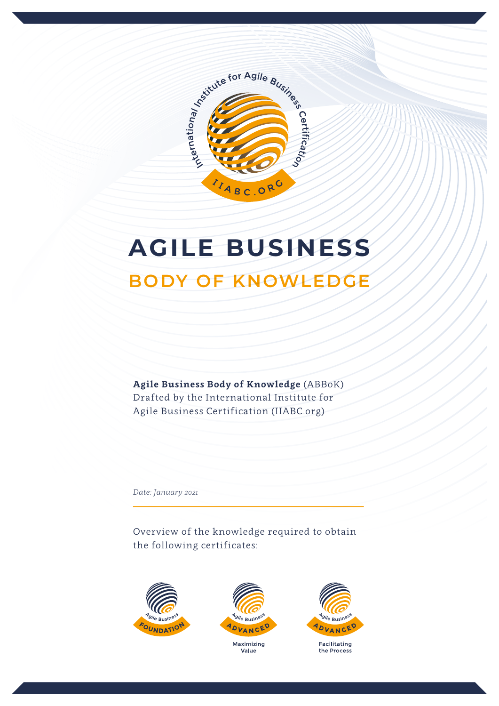

# **AGILE BUSINESS**

# **BODY OF KNOWLEDGE**

**Agile Business Body of Knowledge** (ABBoK) Drafted by the International Institute for Agile Business Certification (IIABC.org)

*Date: January 2021*

Overview of the knowledge required to obtain the following certificates:







Facilitating the Process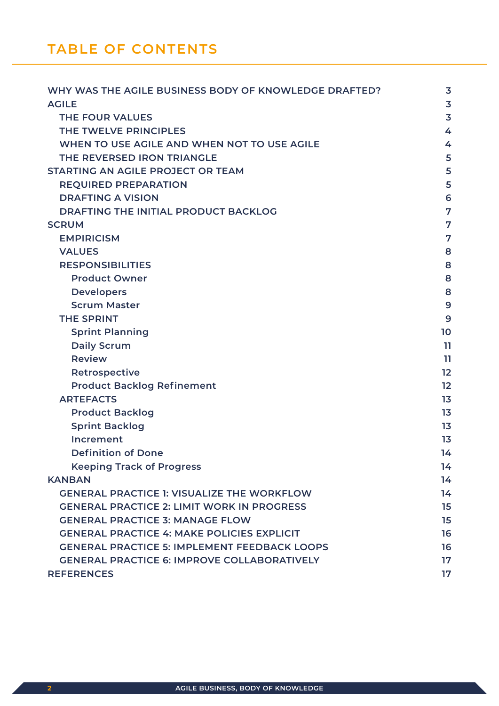| WHY WAS THE AGILE BUSINESS BODY OF KNOWLEDGE DRAFTED? | $\overline{\mathbf{3}}$ |
|-------------------------------------------------------|-------------------------|
| <b>AGILE</b>                                          | $\overline{\mathbf{3}}$ |
| <b>THE FOUR VALUES</b>                                | 3                       |
| THE TWELVE PRINCIPLES                                 | 4                       |
| WHEN TO USE AGILE AND WHEN NOT TO USE AGILE           | 4                       |
| THE REVERSED IRON TRIANGLE                            | 5                       |
| STARTING AN AGILE PROJECT OR TEAM                     | 5                       |
| <b>REQUIRED PREPARATION</b>                           | 5                       |
| <b>DRAFTING A VISION</b>                              | 6                       |
| DRAFTING THE INITIAL PRODUCT BACKLOG                  | 7                       |
| <b>SCRUM</b>                                          | 7                       |
| <b>EMPIRICISM</b>                                     | 7                       |
| <b>VALUES</b>                                         | 8                       |
| <b>RESPONSIBILITIES</b>                               | 8                       |
| <b>Product Owner</b>                                  | 8                       |
| <b>Developers</b>                                     | 8                       |
| <b>Scrum Master</b>                                   | 9                       |
| <b>THE SPRINT</b>                                     | 9                       |
| <b>Sprint Planning</b>                                | 10                      |
| <b>Daily Scrum</b>                                    | 11                      |
| <b>Review</b>                                         | 11                      |
| Retrospective                                         | 12                      |
| <b>Product Backlog Refinement</b>                     | 12                      |
| <b>ARTEFACTS</b>                                      | 13                      |
| <b>Product Backlog</b>                                | 13                      |
| <b>Sprint Backlog</b>                                 | 13                      |
| Increment                                             | 1 <sub>3</sub>          |
| <b>Definition of Done</b>                             | 14                      |
| <b>Keeping Track of Progress</b>                      | 14                      |
| <b>KANBAN</b>                                         | 14                      |
| <b>GENERAL PRACTICE 1: VISUALIZE THE WORKFLOW</b>     | 14                      |
| <b>GENERAL PRACTICE 2: LIMIT WORK IN PROGRESS</b>     | 15                      |
| <b>GENERAL PRACTICE 3: MANAGE FLOW</b>                | 15                      |
| <b>GENERAL PRACTICE 4: MAKE POLICIES EXPLICIT</b>     | 16                      |
| <b>GENERAL PRACTICE 5: IMPLEMENT FEEDBACK LOOPS</b>   | 16                      |
| <b>GENERAL PRACTICE 6: IMPROVE COLLABORATIVELY</b>    | 17                      |
| <b>REFERENCES</b>                                     | 17                      |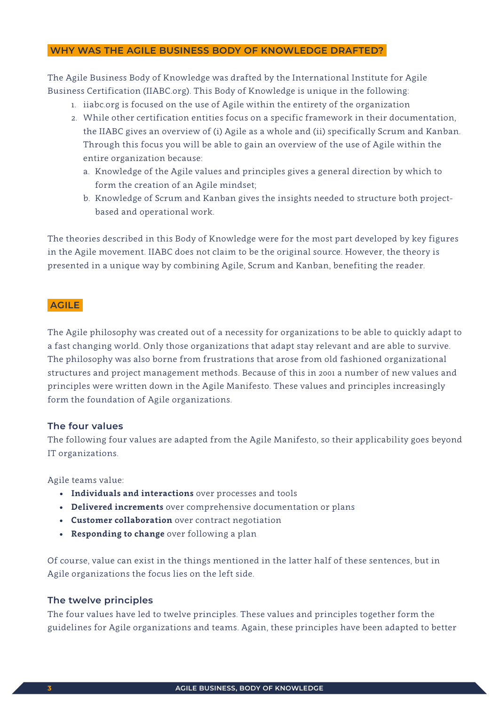#### **WHY WAS THE AGILE BUSINESS BODY OF KNOWLEDGE DRAFTED?**

The Agile Business Body of Knowledge was drafted by the International Institute for Agile Business Certification (IIABC.org). This Body of Knowledge is unique in the following:

- 1. iiabc.org is focused on the use of Agile within the entirety of the organization
- 2. While other certification entities focus on a specific framework in their documentation, the IIABC gives an overview of (i) Agile as a whole and (ii) specifically Scrum and Kanban. Through this focus you will be able to gain an overview of the use of Agile within the entire organization because:
	- a. Knowledge of the Agile values and principles gives a general direction by which to form the creation of an Agile mindset;
	- b. Knowledge of Scrum and Kanban gives the insights needed to structure both projectbased and operational work.

The theories described in this Body of Knowledge were for the most part developed by key figures in the Agile movement. IIABC does not claim to be the original source. However, the theory is presented in a unique way by combining Agile, Scrum and Kanban, benefiting the reader.

# **AGILE**

The Agile philosophy was created out of a necessity for organizations to be able to quickly adapt to a fast changing world. Only those organizations that adapt stay relevant and are able to survive. The philosophy was also borne from frustrations that arose from old fashioned organizational structures and project management methods. Because of this in 2001 a number of new values and principles were written down in the Agile Manifesto. These values and principles increasingly form the foundation of Agile organizations.

#### **The four values**

The following four values are adapted from the Agile Manifesto, so their applicability goes beyond IT organizations.

Agile teams value:

- **• Individuals and interactions** over processes and tools
- **• Delivered increments** over comprehensive documentation or plans
- **• Customer collaboration** over contract negotiation
- **• Responding to change** over following a plan

Of course, value can exist in the things mentioned in the latter half of these sentences, but in Agile organizations the focus lies on the left side.

#### **The twelve principles**

The four values have led to twelve principles. These values and principles together form the guidelines for Agile organizations and teams. Again, these principles have been adapted to better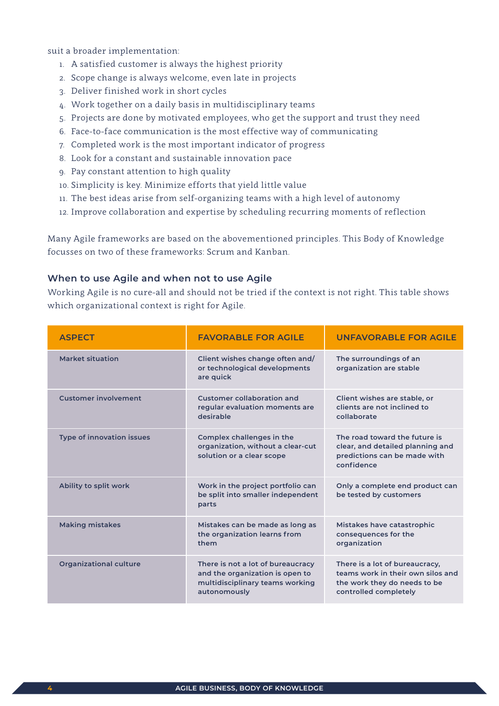suit a broader implementation:

- 1. A satisfied customer is always the highest priority
- 2. Scope change is always welcome, even late in projects
- 3. Deliver finished work in short cycles
- 4. Work together on a daily basis in multidisciplinary teams
- 5. Projects are done by motivated employees, who get the support and trust they need
- 6. Face-to-face communication is the most effective way of communicating
- 7. Completed work is the most important indicator of progress
- 8. Look for a constant and sustainable innovation pace
- 9. Pay constant attention to high quality
- 10. Simplicity is key. Minimize efforts that yield little value
- 11. The best ideas arise from self-organizing teams with a high level of autonomy
- 12. Improve collaboration and expertise by scheduling recurring moments of reflection

Many Agile frameworks are based on the abovementioned principles. This Body of Knowledge focusses on two of these frameworks: Scrum and Kanban.

#### **When to use Agile and when not to use Agile**

Working Agile is no cure-all and should not be tried if the context is not right. This table shows which organizational context is right for Agile.

| <b>ASPECT</b>                    | <b>FAVORABLE FOR AGILE</b>                                                                                              | <b>UNFAVORABLE FOR AGILE</b>                                                                                                 |
|----------------------------------|-------------------------------------------------------------------------------------------------------------------------|------------------------------------------------------------------------------------------------------------------------------|
| Market situation                 | Client wishes change often and/<br>or technological developments<br>are quick                                           | The surroundings of an<br>organization are stable                                                                            |
| <b>Customer involvement</b>      | Customer collaboration and<br>regular evaluation moments are<br>desirable                                               | Client wishes are stable, or<br>clients are not inclined to<br>collaborate                                                   |
| <b>Type of innovation issues</b> | Complex challenges in the<br>organization, without a clear-cut<br>solution or a clear scope                             | The road toward the future is<br>clear, and detailed planning and<br>predictions can be made with<br>confidence              |
| Ability to split work            | Work in the project portfolio can<br>be split into smaller independent<br>parts                                         | Only a complete end product can<br>be tested by customers                                                                    |
| <b>Making mistakes</b>           | Mistakes can be made as long as<br>the organization learns from<br>them                                                 | Mistakes have catastrophic<br>consequences for the<br>organization                                                           |
| <b>Organizational culture</b>    | There is not a lot of bureaucracy<br>and the organization is open to<br>multidisciplinary teams working<br>autonomously | There is a lot of bureaucracy,<br>teams work in their own silos and<br>the work they do needs to be<br>controlled completely |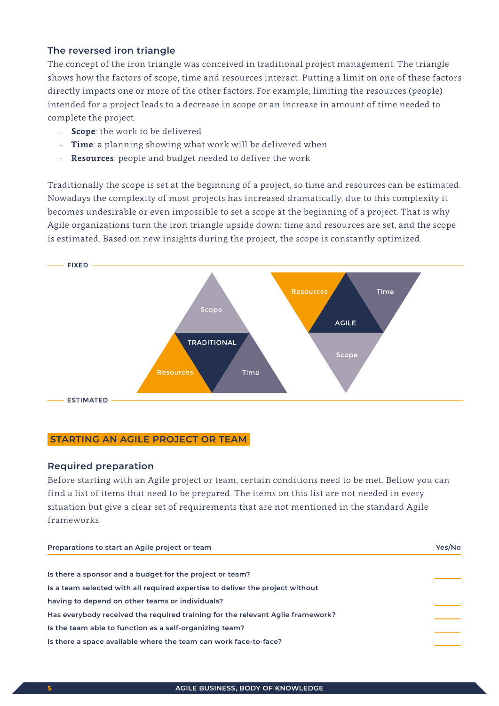### **The reversed iron triangle**

The concept of the iron triangle was conceived in traditional project management. The triangle shows how the factors of scope, time and resources interact. Putting a limit on one of these factors directly impacts one or more of the other factors. For example, limiting the resources (people) intended for a project leads to a decrease in scope or an increase in amount of time needed to complete the project.

- **Scope**: the work to be delivered
- **Time**: a planning showing what work will be delivered when
- **Resources**: people and budget needed to deliver the work

Traditionally the scope is set at the beginning of a project, so time and resources can be estimated. Nowadays the complexity of most projects has increased dramatically, due to this complexity it becomes undesirable or even impossible to set a scope at the beginning of a project. That is why Agile organizations turn the iron triangle upside down: time and resources are set, and the scope is estimated. Based on new insights during the project, the scope is constantly optimized.



#### **STARTING AN AGILE PROJECT OR TEAM**

#### **Required preparation**

Before starting with an Agile project or team, certain conditions need to be met. Bellow you can find a list of items that need to be prepared. The items on this list are not needed in every situation but give a clear set of requirements that are not mentioned in the standard Agile frameworks.

| Preparations to start an Agile project or team                                 | Yes/No |  |
|--------------------------------------------------------------------------------|--------|--|
|                                                                                |        |  |
| Is there a sponsor and a budget for the project or team?                       |        |  |
| Is a team selected with all required expertise to deliver the project without  |        |  |
| having to depend on other teams or individuals?                                |        |  |
| Has everybody received the required training for the relevant Agile framework? |        |  |
| Is the team able to function as a self-organizing team?                        |        |  |
| Is there a space available where the team can work face-to-face?               |        |  |
|                                                                                |        |  |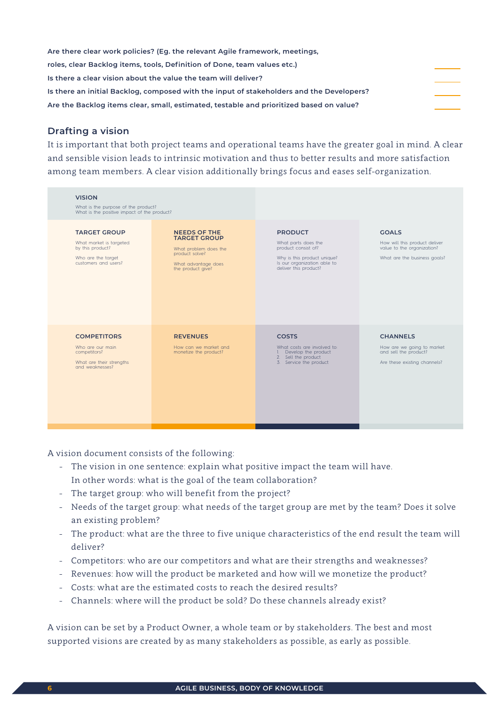**Are there clear work policies? (Eg. the relevant Agile framework, meetings, roles, clear Backlog items, tools, Definition of Done, team values etc.) Is there a clear vision about the value the team will deliver? Is there an initial Backlog, composed with the input of stakeholders and the Developers? Are the Backlog items clear, small, estimated, testable and prioritized based on value?**

# **Drafting a vision**

It is important that both project teams and operational teams have the greater goal in mind. A clear and sensible vision leads to intrinsic motivation and thus to better results and more satisfaction among team members. A clear vision additionally brings focus and eases self-organization.

| <b>VISION</b>                                                                                                    | What is the purpose of the product?<br>What is the positive impact of the product?                                                |                                                                                                                                                     |                                                                                                             |
|------------------------------------------------------------------------------------------------------------------|-----------------------------------------------------------------------------------------------------------------------------------|-----------------------------------------------------------------------------------------------------------------------------------------------------|-------------------------------------------------------------------------------------------------------------|
| <b>TARGET GROUP</b><br>What market is targeted<br>by this product?<br>Who are the target<br>customers and users? | <b>NEEDS OF THE</b><br><b>TARGET GROUP</b><br>What problem does the<br>product solve?<br>What advantage does<br>the product give? | <b>PRODUCT</b><br>What parts does the<br>product consist of?<br>Why is this product unique?<br>Is our organization able to<br>deliver this product? | <b>GOALS</b><br>How will this product deliver<br>value to the organization?<br>What are the business goals? |
| <b>COMPETITORS</b><br>Who are our main<br>competitors?<br>What are their strengths<br>and weaknesses?            | <b>REVENUES</b><br>How can we market and<br>monetize the product?                                                                 | <b>COSTS</b><br>What costs are involved to:<br>Develop the product<br>$\mathbf{L}$<br>2. Sell the product<br>3. Service the product                 | <b>CHANNELS</b><br>How are we going to market<br>and sell the product?<br>Are these existing channels?      |

A vision document consists of the following:

- The vision in one sentence: explain what positive impact the team will have. In other words: what is the goal of the team collaboration?
- The target group: who will benefit from the project?
- Needs of the target group: what needs of the target group are met by the team? Does it solve an existing problem?
- The product: what are the three to five unique characteristics of the end result the team will deliver?
- Competitors: who are our competitors and what are their strengths and weaknesses?
- Revenues: how will the product be marketed and how will we monetize the product?
- Costs: what are the estimated costs to reach the desired results?
- Channels: where will the product be sold? Do these channels already exist?

A vision can be set by a Product Owner, a whole team or by stakeholders. The best and most supported visions are created by as many stakeholders as possible, as early as possible.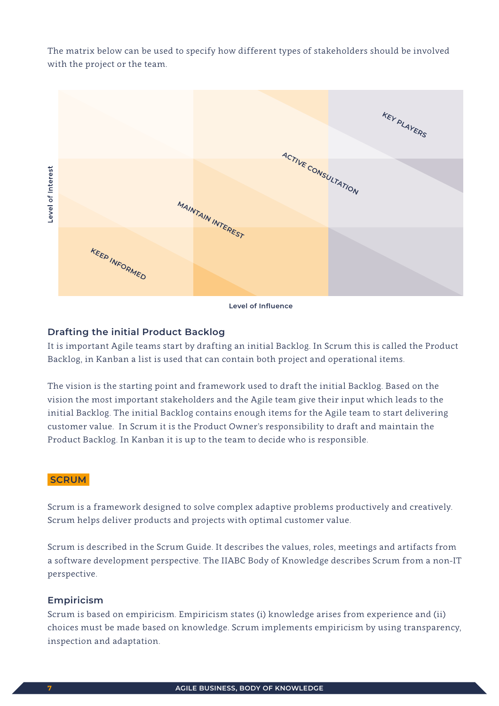The matrix below can be used to specify how different types of stakeholders should be involved with the project or the team.



#### **Level of Influence**

#### **Drafting the initial Product Backlog**

It is important Agile teams start by drafting an initial Backlog. In Scrum this is called the Product Backlog, in Kanban a list is used that can contain both project and operational items.

The vision is the starting point and framework used to draft the initial Backlog. Based on the vision the most important stakeholders and the Agile team give their input which leads to the initial Backlog. The initial Backlog contains enough items for the Agile team to start delivering customer value. In Scrum it is the Product Owner's responsibility to draft and maintain the Product Backlog. In Kanban it is up to the team to decide who is responsible.

#### **SCRUM**

Scrum is a framework designed to solve complex adaptive problems productively and creatively. Scrum helps deliver products and projects with optimal customer value.

Scrum is described in the Scrum Guide. It describes the values, roles, meetings and artifacts from a software development perspective. The IIABC Body of Knowledge describes Scrum from a non-IT perspective.

#### **Empiricism**

Scrum is based on empiricism. Empiricism states (i) knowledge arises from experience and (ii) choices must be made based on knowledge. Scrum implements empiricism by using transparency, inspection and adaptation.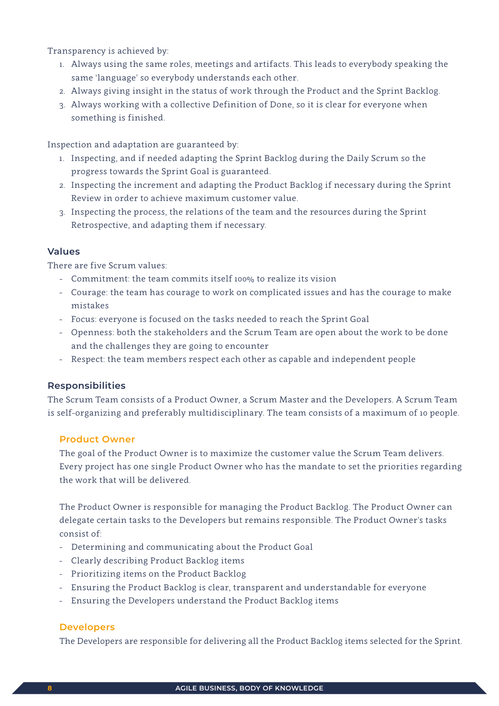Transparency is achieved by:

- 1. Always using the same roles, meetings and artifacts. This leads to everybody speaking the same 'language' so everybody understands each other.
- 2. Always giving insight in the status of work through the Product and the Sprint Backlog.
- 3. Always working with a collective Definition of Done, so it is clear for everyone when something is finished.

Inspection and adaptation are guaranteed by:

- 1. Inspecting, and if needed adapting the Sprint Backlog during the Daily Scrum so the progress towards the Sprint Goal is guaranteed.
- 2. Inspecting the increment and adapting the Product Backlog if necessary during the Sprint Review in order to achieve maximum customer value.
- 3. Inspecting the process, the relations of the team and the resources during the Sprint Retrospective, and adapting them if necessary.

#### **Values**

There are five Scrum values:

- Commitment: the team commits itself 100% to realize its vision
- Courage: the team has courage to work on complicated issues and has the courage to make mistakes
- Focus: everyone is focused on the tasks needed to reach the Sprint Goal
- Openness: both the stakeholders and the Scrum Team are open about the work to be done and the challenges they are going to encounter
- Respect: the team members respect each other as capable and independent people

#### **Responsibilities**

The Scrum Team consists of a Product Owner, a Scrum Master and the Developers. A Scrum Team is self-organizing and preferably multidisciplinary. The team consists of a maximum of 10 people.

#### **Product Owner**

 The goal of the Product Owner is to maximize the customer value the Scrum Team delivers. Every project has one single Product Owner who has the mandate to set the priorities regarding the work that will be delivered.

 The Product Owner is responsible for managing the Product Backlog. The Product Owner can delegate certain tasks to the Developers but remains responsible. The Product Owner's tasks consist of:

- Determining and communicating about the Product Goal
- Clearly describing Product Backlog items
- Prioritizing items on the Product Backlog
- Ensuring the Product Backlog is clear, transparent and understandable for everyone
- Ensuring the Developers understand the Product Backlog items

#### **Developers**

The Developers are responsible for delivering all the Product Backlog items selected for the Sprint.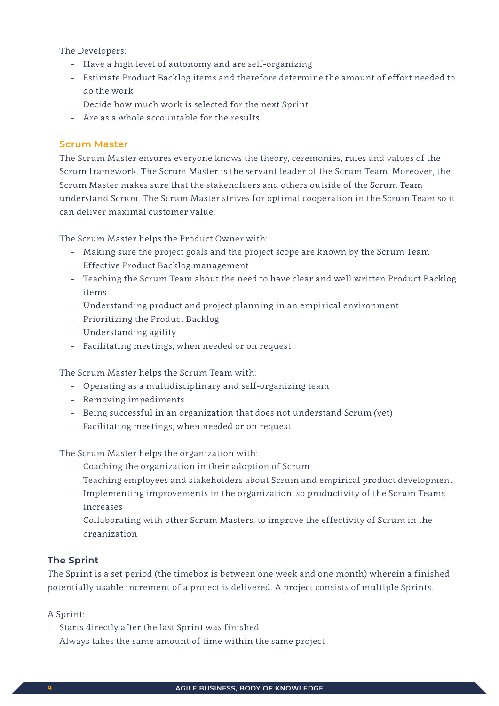The Developers:

- Have a high level of autonomy and are self-organizing
- Estimate Product Backlog items and therefore determine the amount of effort needed to do the work
- Decide how much work is selected for the next Sprint
- Are as a whole accountable for the results

#### **Scrum Master**

 The Scrum Master ensures everyone knows the theory, ceremonies, rules and values of the Scrum framework. The Scrum Master is the servant leader of the Scrum Team. Moreover, the Scrum Master makes sure that the stakeholders and others outside of the Scrum Team understand Scrum. The Scrum Master strives for optimal cooperation in the Scrum Team so it can deliver maximal customer value.

The Scrum Master helps the Product Owner with:

- Making sure the project goals and the project scope are known by the Scrum Team
- Effective Product Backlog management
- Teaching the Scrum Team about the need to have clear and well written Product Backlog items
- Understanding product and project planning in an empirical environment
- Prioritizing the Product Backlog
- Understanding agility
- Facilitating meetings, when needed or on request

The Scrum Master helps the Scrum Team with:

- Operating as a multidisciplinary and self-organizing team
- Removing impediments
- Being successful in an organization that does not understand Scrum (yet)
- Facilitating meetings, when needed or on request

The Scrum Master helps the organization with:

- Coaching the organization in their adoption of Scrum
- Teaching employees and stakeholders about Scrum and empirical product development
- Implementing improvements in the organization, so productivity of the Scrum Teams increases
- Collaborating with other Scrum Masters, to improve the effectivity of Scrum in the organization

# **The Sprint**

The Sprint is a set period (the timebox is between one week and one month) wherein a finished potentially usable increment of a project is delivered. A project consists of multiple Sprints.

#### A Sprint:

- Starts directly after the last Sprint was finished
- Always takes the same amount of time within the same project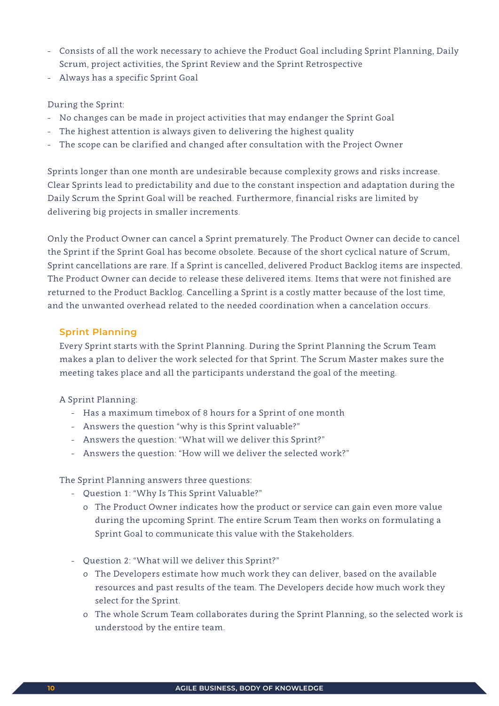- Consists of all the work necessary to achieve the Product Goal including Sprint Planning, Daily Scrum, project activities, the Sprint Review and the Sprint Retrospective
- Always has a specific Sprint Goal

### During the Sprint:

- No changes can be made in project activities that may endanger the Sprint Goal
- The highest attention is always given to delivering the highest quality
- The scope can be clarified and changed after consultation with the Project Owner

Sprints longer than one month are undesirable because complexity grows and risks increase. Clear Sprints lead to predictability and due to the constant inspection and adaptation during the Daily Scrum the Sprint Goal will be reached. Furthermore, financial risks are limited by delivering big projects in smaller increments.

Only the Product Owner can cancel a Sprint prematurely. The Product Owner can decide to cancel the Sprint if the Sprint Goal has become obsolete. Because of the short cyclical nature of Scrum, Sprint cancellations are rare. If a Sprint is cancelled, delivered Product Backlog items are inspected. The Product Owner can decide to release these delivered items. Items that were not finished are returned to the Product Backlog. Cancelling a Sprint is a costly matter because of the lost time, and the unwanted overhead related to the needed coordination when a cancelation occurs.

# **Sprint Planning**

 Every Sprint starts with the Sprint Planning. During the Sprint Planning the Scrum Team makes a plan to deliver the work selected for that Sprint. The Scrum Master makes sure the meeting takes place and all the participants understand the goal of the meeting.

A Sprint Planning:

- Has a maximum timebox of 8 hours for a Sprint of one month
- Answers the question "why is this Sprint valuable?"
- Answers the question: "What will we deliver this Sprint?"
- Answers the question: "How will we deliver the selected work?"

The Sprint Planning answers three questions:

- Question 1: "Why Is This Sprint Valuable?"
	- o The Product Owner indicates how the product or service can gain even more value during the upcoming Sprint. The entire Scrum Team then works on formulating a Sprint Goal to communicate this value with the Stakeholders.
- Question 2: "What will we deliver this Sprint?"
	- o The Developers estimate how much work they can deliver, based on the available resources and past results of the team. The Developers decide how much work they select for the Sprint.
	- o The whole Scrum Team collaborates during the Sprint Planning, so the selected work is understood by the entire team.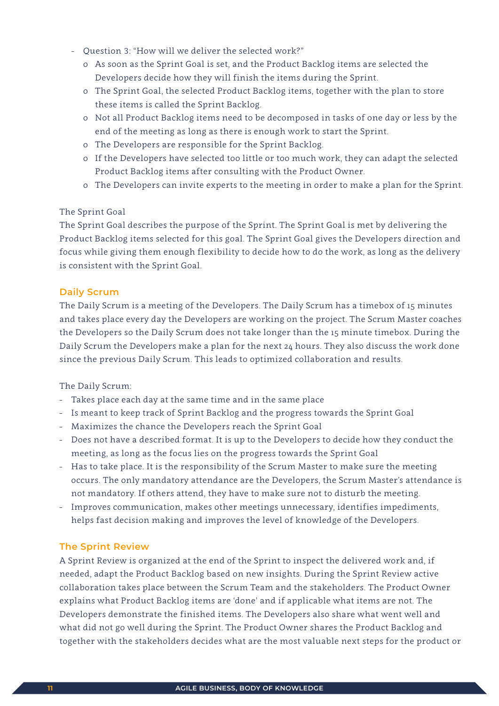- Question 3: "How will we deliver the selected work?"
	- o As soon as the Sprint Goal is set, and the Product Backlog items are selected the Developers decide how they will finish the items during the Sprint.
	- o The Sprint Goal, the selected Product Backlog items, together with the plan to store these items is called the Sprint Backlog.
	- o Not all Product Backlog items need to be decomposed in tasks of one day or less by the end of the meeting as long as there is enough work to start the Sprint.
	- o The Developers are responsible for the Sprint Backlog.
	- o If the Developers have selected too little or too much work, they can adapt the selected Product Backlog items after consulting with the Product Owner.
	- o The Developers can invite experts to the meeting in order to make a plan for the Sprint.

#### The Sprint Goal

 The Sprint Goal describes the purpose of the Sprint. The Sprint Goal is met by delivering the Product Backlog items selected for this goal. The Sprint Goal gives the Developers direction and focus while giving them enough flexibility to decide how to do the work, as long as the delivery is consistent with the Sprint Goal.

#### **Daily Scrum**

 The Daily Scrum is a meeting of the Developers. The Daily Scrum has a timebox of 15 minutes and takes place every day the Developers are working on the project. The Scrum Master coaches the Developers so the Daily Scrum does not take longer than the 15 minute timebox. During the Daily Scrum the Developers make a plan for the next 24 hours. They also discuss the work done since the previous Daily Scrum. This leads to optimized collaboration and results.

The Daily Scrum:

- Takes place each day at the same time and in the same place
- Is meant to keep track of Sprint Backlog and the progress towards the Sprint Goal
- Maximizes the chance the Developers reach the Sprint Goal
- Does not have a described format. It is up to the Developers to decide how they conduct the meeting, as long as the focus lies on the progress towards the Sprint Goal
- Has to take place. It is the responsibility of the Scrum Master to make sure the meeting occurs. The only mandatory attendance are the Developers, the Scrum Master's attendance is not mandatory. If others attend, they have to make sure not to disturb the meeting.
- Improves communication, makes other meetings unnecessary, identifies impediments, helps fast decision making and improves the level of knowledge of the Developers.

#### **The Sprint Review**

 A Sprint Review is organized at the end of the Sprint to inspect the delivered work and, if needed, adapt the Product Backlog based on new insights. During the Sprint Review active collaboration takes place between the Scrum Team and the stakeholders. The Product Owner explains what Product Backlog items are 'done' and if applicable what items are not. The Developers demonstrate the finished items. The Developers also share what went well and what did not go well during the Sprint. The Product Owner shares the Product Backlog and together with the stakeholders decides what are the most valuable next steps for the product or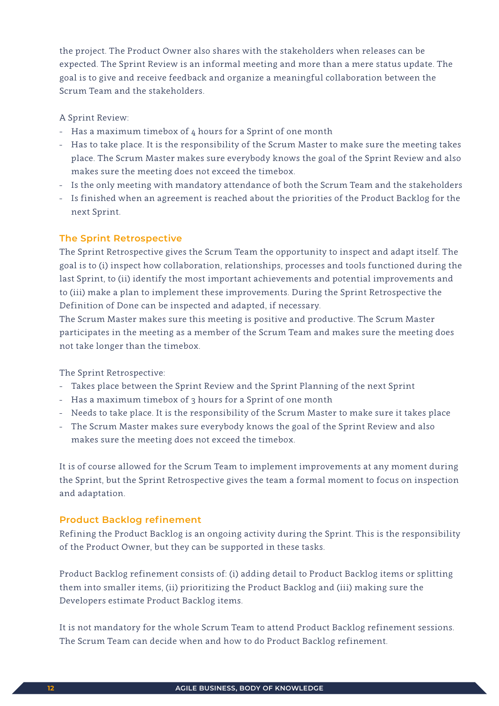the project. The Product Owner also shares with the stakeholders when releases can be expected. The Sprint Review is an informal meeting and more than a mere status update. The goal is to give and receive feedback and organize a meaningful collaboration between the Scrum Team and the stakeholders.

A Sprint Review:

- Has a maximum timebox of 4 hours for a Sprint of one month
- Has to take place. It is the responsibility of the Scrum Master to make sure the meeting takes place. The Scrum Master makes sure everybody knows the goal of the Sprint Review and also makes sure the meeting does not exceed the timebox.
- Is the only meeting with mandatory attendance of both the Scrum Team and the stakeholders
- Is finished when an agreement is reached about the priorities of the Product Backlog for the next Sprint.

# **The Sprint Retrospective**

 The Sprint Retrospective gives the Scrum Team the opportunity to inspect and adapt itself. The goal is to (i) inspect how collaboration, relationships, processes and tools functioned during the last Sprint, to (ii) identify the most important achievements and potential improvements and to (iii) make a plan to implement these improvements. During the Sprint Retrospective the Definition of Done can be inspected and adapted, if necessary.

 The Scrum Master makes sure this meeting is positive and productive. The Scrum Master participates in the meeting as a member of the Scrum Team and makes sure the meeting does not take longer than the timebox.

The Sprint Retrospective:

- Takes place between the Sprint Review and the Sprint Planning of the next Sprint
- Has a maximum timebox of 3 hours for a Sprint of one month
- Needs to take place. It is the responsibility of the Scrum Master to make sure it takes place
- The Scrum Master makes sure everybody knows the goal of the Sprint Review and also makes sure the meeting does not exceed the timebox.

 It is of course allowed for the Scrum Team to implement improvements at any moment during the Sprint, but the Sprint Retrospective gives the team a formal moment to focus on inspection and adaptation.

# **Product Backlog refinement**

 Refining the Product Backlog is an ongoing activity during the Sprint. This is the responsibility of the Product Owner, but they can be supported in these tasks.

 Product Backlog refinement consists of: (i) adding detail to Product Backlog items or splitting them into smaller items, (ii) prioritizing the Product Backlog and (iii) making sure the Developers estimate Product Backlog items.

 It is not mandatory for the whole Scrum Team to attend Product Backlog refinement sessions. The Scrum Team can decide when and how to do Product Backlog refinement.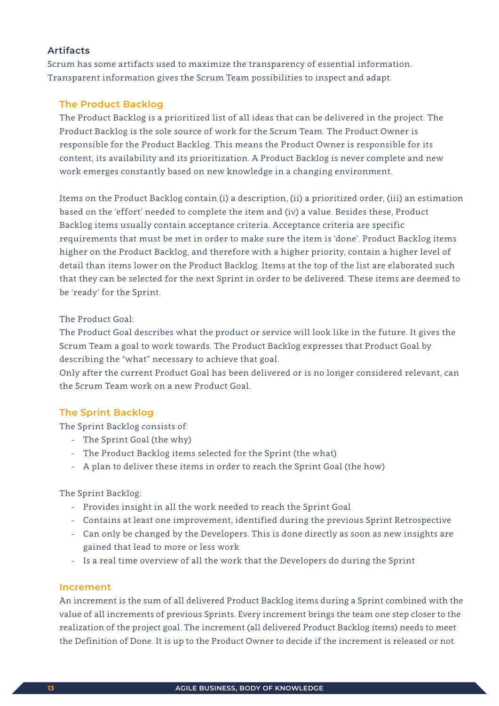# **Artifacts**

Scrum has some artifacts used to maximize the transparency of essential information. Transparent information gives the Scrum Team possibilities to inspect and adapt.

### **The Product Backlog**

 The Product Backlog is a prioritized list of all ideas that can be delivered in the project. The Product Backlog is the sole source of work for the Scrum Team. The Product Owner is responsible for the Product Backlog. This means the Product Owner is responsible for its content, its availability and its prioritization. A Product Backlog is never complete and new work emerges constantly based on new knowledge in a changing environment.

 Items on the Product Backlog contain (i) a description, (ii) a prioritized order, (iii) an estimation based on the 'effort' needed to complete the item and (iv) a value. Besides these, Product Backlog items usually contain acceptance criteria. Acceptance criteria are specific requirements that must be met in order to make sure the item is 'done'. Product Backlog items higher on the Product Backlog, and therefore with a higher priority, contain a higher level of detail than items lower on the Product Backlog. Items at the top of the list are elaborated such that they can be selected for the next Sprint in order to be delivered. These items are deemed to be 'ready' for the Sprint.

#### The Product Goal:

 The Product Goal describes what the product or service will look like in the future. It gives the Scrum Team a goal to work towards. The Product Backlog expresses that Product Goal by describing the "what" necessary to achieve that goal.

 Only after the current Product Goal has been delivered or is no longer considered relevant, can the Scrum Team work on a new Product Goal.

#### **The Sprint Backlog**

The Sprint Backlog consists of:

- The Sprint Goal (the why)
- The Product Backlog items selected for the Sprint (the what)
- A plan to deliver these items in order to reach the Sprint Goal (the how)

The Sprint Backlog:

- Provides insight in all the work needed to reach the Sprint Goal
- Contains at least one improvement, identified during the previous Sprint Retrospective
- Can only be changed by the Developers. This is done directly as soon as new insights are gained that lead to more or less work
- Is a real time overview of all the work that the Developers do during the Sprint

#### **Increment**

 An increment is the sum of all delivered Product Backlog items during a Sprint combined with the value of all increments of previous Sprints. Every increment brings the team one step closer to the realization of the project goal. The increment (all delivered Product Backlog items) needs to meet the Definition of Done. It is up to the Product Owner to decide if the increment is released or not.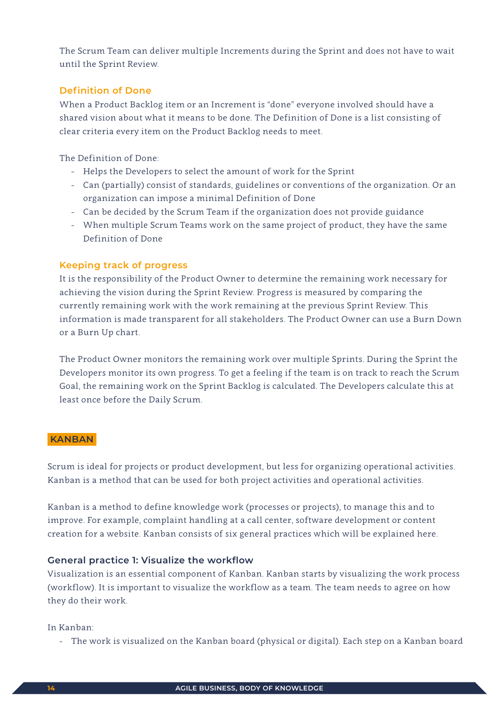The Scrum Team can deliver multiple Increments during the Sprint and does not have to wait until the Sprint Review.

# **Definition of Done**

 When a Product Backlog item or an Increment is "done" everyone involved should have a shared vision about what it means to be done. The Definition of Done is a list consisting of clear criteria every item on the Product Backlog needs to meet.

The Definition of Done:

- Helps the Developers to select the amount of work for the Sprint
- Can (partially) consist of standards, guidelines or conventions of the organization. Or an organization can impose a minimal Definition of Done
- Can be decided by the Scrum Team if the organization does not provide guidance
- When multiple Scrum Teams work on the same project of product, they have the same Definition of Done

#### **Keeping track of progress**

 It is the responsibility of the Product Owner to determine the remaining work necessary for achieving the vision during the Sprint Review. Progress is measured by comparing the currently remaining work with the work remaining at the previous Sprint Review. This information is made transparent for all stakeholders. The Product Owner can use a Burn Down or a Burn Up chart.

 The Product Owner monitors the remaining work over multiple Sprints. During the Sprint the Developers monitor its own progress. To get a feeling if the team is on track to reach the Scrum Goal, the remaining work on the Sprint Backlog is calculated. The Developers calculate this at least once before the Daily Scrum.

#### **KANBAN**

Scrum is ideal for projects or product development, but less for organizing operational activities. Kanban is a method that can be used for both project activities and operational activities.

Kanban is a method to define knowledge work (processes or projects), to manage this and to improve. For example, complaint handling at a call center, software development or content creation for a website. Kanban consists of six general practices which will be explained here.

#### **General practice 1: Visualize the workflow**

Visualization is an essential component of Kanban. Kanban starts by visualizing the work process (workflow). It is important to visualize the workflow as a team. The team needs to agree on how they do their work.

#### In Kanban:

- The work is visualized on the Kanban board (physical or digital). Each step on a Kanban board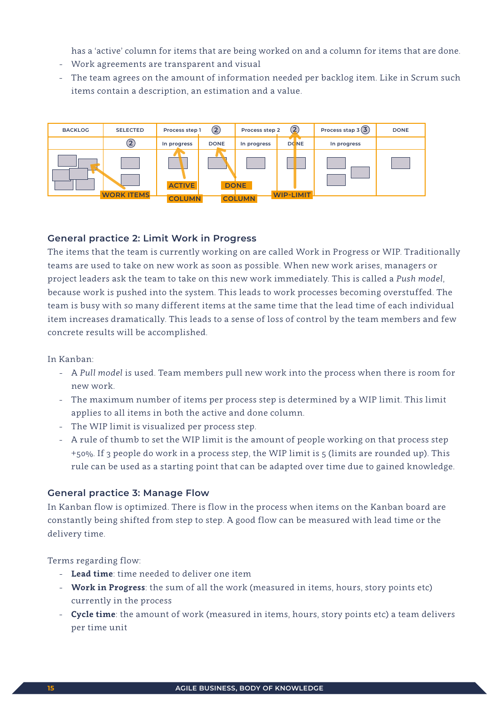has a 'active' column for items that are being worked on and a column for items that are done.

- Work agreements are transparent and visual
- The team agrees on the amount of information needed per backlog item. Like in Scrum such items contain a description, an estimation and a value.



#### **General practice 2: Limit Work in Progress**

The items that the team is currently working on are called Work in Progress or WIP. Traditionally teams are used to take on new work as soon as possible. When new work arises, managers or project leaders ask the team to take on this new work immediately. This is called a *Push model*, because work is pushed into the system. This leads to work processes becoming overstuffed. The team is busy with so many different items at the same time that the lead time of each individual item increases dramatically. This leads to a sense of loss of control by the team members and few concrete results will be accomplished.

#### In Kanban:

- A *Pull model* is used. Team members pull new work into the process when there is room for new work.
- The maximum number of items per process step is determined by a WIP limit. This limit applies to all items in both the active and done column.
- The WIP limit is visualized per process step.
- A rule of thumb to set the WIP limit is the amount of people working on that process step +50%. If 3 people do work in a process step, the WIP limit is 5 (limits are rounded up). This rule can be used as a starting point that can be adapted over time due to gained knowledge.

#### **General practice 3: Manage Flow**

In Kanban flow is optimized. There is flow in the process when items on the Kanban board are constantly being shifted from step to step. A good flow can be measured with lead time or the delivery time.

Terms regarding flow:

- **Lead time**: time needed to deliver one item
- **Work in Progress**: the sum of all the work (measured in items, hours, story points etc) currently in the process
- **Cycle time**: the amount of work (measured in items, hours, story points etc) a team delivers per time unit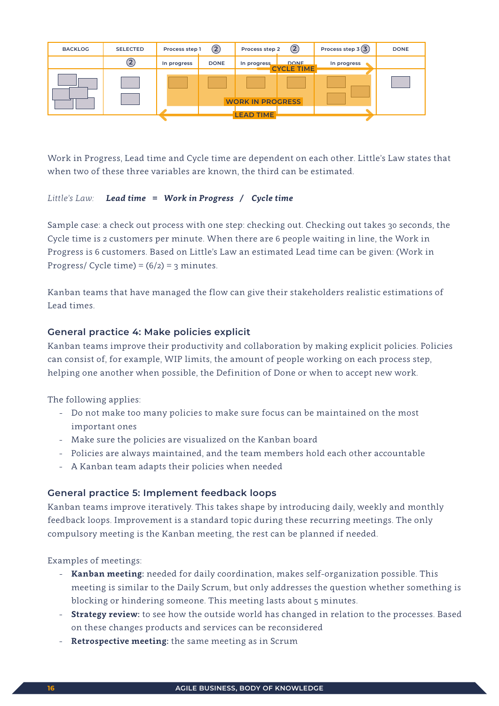| <b>BACKLOG</b> | <b>SELECTED</b> | Process step 1 | $\rm(2)$    | Process step 2          | (2)                              | Process step $3(3)$ | <b>DONE</b> |
|----------------|-----------------|----------------|-------------|-------------------------|----------------------------------|---------------------|-------------|
|                | $\Large 2$      | In progress    | <b>DONE</b> | In progress             | <b>DONE</b><br><b>CYCLE TIME</b> | In progress         |             |
|                |                 |                |             |                         |                                  |                     |             |
|                |                 |                |             |                         |                                  |                     |             |
|                |                 |                |             | <b>WORK IN PROGRESS</b> |                                  |                     |             |
|                |                 |                |             | <b>LEAD TIME</b>        |                                  |                     |             |
|                |                 |                |             |                         |                                  |                     |             |

Work in Progress, Lead time and Cycle time are dependent on each other. Little's Law states that when two of these three variables are known, the third can be estimated.

#### *Little's Law: Lead time = Work in Progress / Cycle time*

Sample case: a check out process with one step: checking out. Checking out takes 30 seconds, the Cycle time is 2 customers per minute. When there are 6 people waiting in line, the Work in Progress is 6 customers. Based on Little's Law an estimated Lead time can be given: (Work in Progress/ Cycle time) =  $(6/2)$  = 3 minutes.

Kanban teams that have managed the flow can give their stakeholders realistic estimations of Lead times.

# **General practice 4: Make policies explicit**

Kanban teams improve their productivity and collaboration by making explicit policies. Policies can consist of, for example, WIP limits, the amount of people working on each process step, helping one another when possible, the Definition of Done or when to accept new work.

The following applies:

- Do not make too many policies to make sure focus can be maintained on the most important ones
- Make sure the policies are visualized on the Kanban board
- Policies are always maintained, and the team members hold each other accountable
- A Kanban team adapts their policies when needed

#### **General practice 5: Implement feedback loops**

Kanban teams improve iteratively. This takes shape by introducing daily, weekly and monthly feedback loops. Improvement is a standard topic during these recurring meetings. The only compulsory meeting is the Kanban meeting, the rest can be planned if needed.

Examples of meetings:

- **Kanban meeting:** needed for daily coordination, makes self-organization possible. This meeting is similar to the Daily Scrum, but only addresses the question whether something is blocking or hindering someone. This meeting lasts about 5 minutes.
- **Strategy review:** to see how the outside world has changed in relation to the processes. Based on these changes products and services can be reconsidered
- **Retrospective meeting:** the same meeting as in Scrum